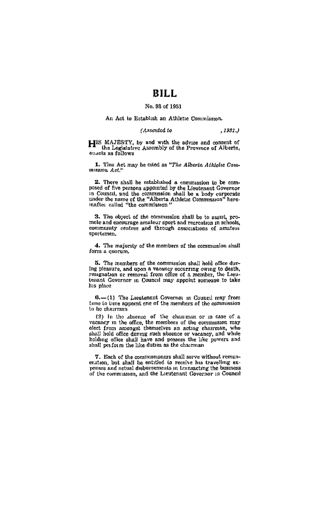# RILL.

# No. 93 of 1931

# An Act to Establish an Athletic Commission,

# (Assented to .1981.)

HIS MAJESTY, by and with the advice and consent of the Legislative Assembly of the Province of Alberta, enacts as follows

1. This Act may be cited as "The Alberta Athletic Commission  $Act.^n$ 

2. There shall be established a commission to be com-- reversassing examining a continuation to be control.<br>posed of five persons appointed by the Lieutenant Governor<br>in Council, and the commission shall be a hody corporate<br>under the name of the "Alberta Athletoc Commission"

3. The object of the commussion shall be to assist, promole and enourage amateur sport and recreating in schools, sportamen.

4. The majority of the members of the commission shall form a quorum,

5. The members of the commusion shall hold office duror regulation and upon a vacancy occurring owing to death, resignation or removal from office of a member, the Lieutenant Governor in Council may appoint someone to take his place

 $6. - (1)$  The Leeplenant Governor in Council may from<br>time to time appoint one of the members of the commission to be chairman

to its unitmum.<br>
The absence of the chain man or in case of a veneracy in the affec, the members of the commission may<br>
other from amongst themselves an acting chairman, who<br>
shall hold office during stick absence or vect holding office shall have and possess the like powers and shall perform the like duties as the chairman

7. Each of the commissioners shall serve without remunevation, but shall be entitled to receive his travelling exnewses and actual disbursements in transacting the business of the commission, and the Lieutepant Governor in Council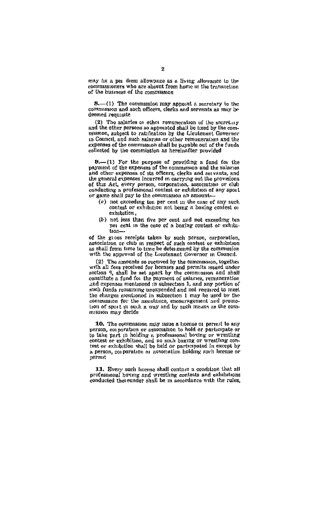may fix a per diem allowance as a living allowance to the<br>commissioners who are absent from home in the transaction of the business of the commission

8.—(1) The commission may appoint a secretary to the<br>simmasson and such officers, clerks and servants as may be deemed requisite

(2) The salaries or other remuneration of the secretary and the other persons so appointed shall be tixed by the commussion, subject to ratification by the Lieutenant Governor in Council, and such salaries or other remuneration and the expenses of the commission shall be payable out of the funds collected by the commission as hereinafter provided

 $9. - (1)$  For the purpose of providing a fond for the payment of the expenses of the commission and the salaries payment or the expenses of the commonwer and servents, and alle other expenses of the officers, clerks and servents, and the general expenses incurred in carrying out the provisions of this Act, every person, corporation, association or club<br>conductive a professional contest or exhibition of any spot or game shall pay to the commission an amount-

- (a) not exceeding ten per cent in the case of any such contest or exhibition not being a hoxing contest of exhibition
- $(b)$  not jess than five per cent and not exceeding ten per cent in the case of a boxing contest or exhibition-

of the gross receipts taken by such person, corporation, aptociation or club in respect of such contest or exhibition as shall from time to time be determined by the commission with the approval of the Lieutenant Governor in Council.

(2) The amounts so received by the commission, together with all fees received for heenses and permits issued under section 9, shall be set apart by the commission and shall constitute a fund for the payment of salaries, remuneration and expenses mentioned in subsection 1, and any portion of such funds remaining unexpended and not required to meet the charges mentioned in subsection 1 may be used by the commission for the assistance, encouragement and promo-

10. The commission may issue a homise of permit to any<br>person, corporation or association to hold or perticipate or to take part in holding a professional boxing or wrestling contest or exhibition, and no sinh hoxing or wrestling contest or exhibition shall be held or participated in except by a person, corporation or association holding such license or permit

11. Every such heems shall contain a condition that all<br>professional boxing and wristling contests and exhibitions<br>conducted their under shall be in accordance with the rules,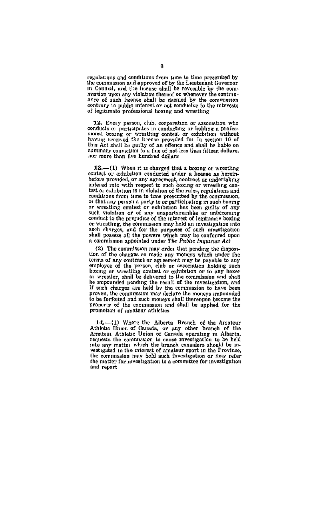regulations and conditions from time to time prescribed by the commission and approved of by the Lieutenant Governor<br>in Council, and the issense shall be revocable by the com-<br>mission upon any violation thereof or whenever the continuance of such heense shall be deemed by the commission contrary to public interest or not conductve to the interests of legitimate professional boxing and wrestling

12. Every person, club, corporation or association who conducts or participates in conducting or holding a professional bearing or wrestling contest or exhibition without having received the brense provided for in section 10 of this Act shall be guilty of an offence and shall be hable on summary conviction to a fine of not less than fifteen dollars, nor more than five hundred dollars

13.-(1) When it is charged that a boxing or wrestling contest or exhibition conducted under a license as hereinbefore provided, or any agreement, contract or undertaking<br>ontered into with respect to such beating or wreatling on-<br>test or exhibition is in violation of the rules, regulations and conditions from time to time prescribed by the commission, or that any person a party to or participating in such boxing or wreating contest or exhibition has been guilty of any<br>such violation or of any unspectamenties or unbecoming<br>conduct to the prejudice of the interest of legitimate boxing or wrestling, the commission may hold an investigation into such changes, and for the purposes of such investigation<br>shall possess all the powers which may be conferred upon<br>a commission appointed under The Public Inquiries Act

(2) The commission may order that pending the disposition of the charges so made any moneys which under the terms of any contract or agreement may be payable to any<br>employee of the person, club or association holding such encourage or une person, case or exhibition or to any boxer bu wrestler, shall be delivered to the commission and shall be impounded pending the result of the myssligation, and if such charges are held by the commission to have been proven, the commission may declare the moneys impounded to be forfeited and such moneys shall thereupon become the property of the commission and shall be applied for the promotion of amsteur athleties

14,-(1) Where the Alberta Branch of the Amateur<br>Athlotte Union of Canada, or any other branch of the<br>Amateur Athletic Union of Canada operating in Alberta, requests the commission to cause investigation to be held into any matter which the branch considers should be investigated in the interest of amateur sport in the Province the commission may hold such investigation or may refer the matter for investigation to a committee for investigation and report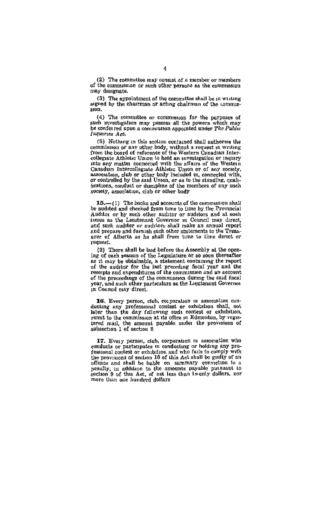(2) The committee may consist of a member or members. of the commission or such other persons as the commission niav designate.

(3) The appointment of the committee shall be in writing aigned by the chairman or acting chairman of the commis- $300n$ 

(4) The committee or commission for the purposes of such investigation may possess all the powers which may be conferred upon a commission appointed under The Public Inguiries Act.

(5) Nothing in this section contained shall authorize the commission of any other body, without a request in writing<br>from the board of rafevence of the Western Canadian Inter-<br>collegaste Athletic Union to hold an annualization or inquiry<br>nito any matter Canadian into any matter Canadian Intercollegate Athletic Union or of any society, or controlled by the said Union, or as to the standing, qualiheations, conduct or discipline of the members of any such society, association, club or other body

15.-(1) The books and accounts of the commesses shall be audited and checked from time to time by the Provincial Auditor or by such other suditor or auditors and at such times as the Lieutenant Governor in Council may direct, and such auditor or auditors shall make an annual report and prepare and furnish such other statements to the Treasurer of Alberta as he shall from time to time direct or vomseet.

(2) There shall be laid before the Assembly at the opening of each session of the Legislature or so soon thereafter as it may be obtainable, a statement contuning the report of the auditor for the last preceding fiscal year and the receipts and expenditures of the commission and an account of the proceedings of the commission during the said fiscal vesr, and such other narticulars as the Lieutenant Governor. in Conneal may direct

16. Every person, club, corporation or association corducting any professional contest or exhibition shall, not later than the day following such contest or exhibition, remt to the commission at its office in Edmonton, by registered mail, the amount payable ender the provisions of subsection 1 of section 8

17. Every person, club, corporation or association who conducts or participates in conducting or holding any professional content or exhibition sad who fails to comply with<br>fessional content or exhibition sad who fails to comply with<br>the provisions of section 10 of this Act shall be guilty of an of these and shall be lagble on summary convection to a ponalty, in addition to the smoonts payable putsuant to section to a more than one hundred dollars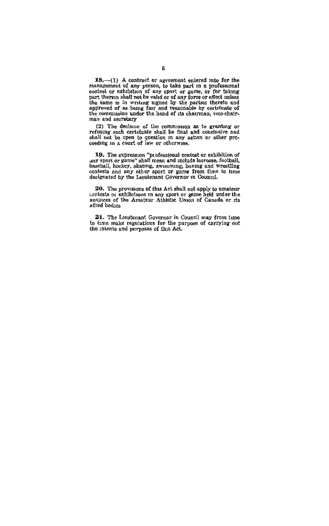$18S$ .—(1) A contract or agreement entered into for the management of any generom and posted in a professional part of equations control of except the contest or exhibition of any goort or game, or for taking part there a man and secretary

(2) The decision of the commission as to granting or refusing such certificate shall be final and conclusive and shall not be open to question in any action or other procession in concellation in any action or other proce

19. The expression "professional contest or exhibition of any sport or game" aball mean and neithele laceroses, football, hockey, skating, awnmining, hoxing and wrestling contests and any other sport or game from time to

20. The provisions of this Act shall not apply to amateur<br>contests or exhibitions in any sport or game held under the<br>auspices of the Amateur Athletic Union of Canada or its allted bodies

21. The Leatenant Governor in Council may from time to time make regulations for the purpose of carrying out<br>to time make regulations for the purpose of carrying out<br>the intents and purposes of this Act.